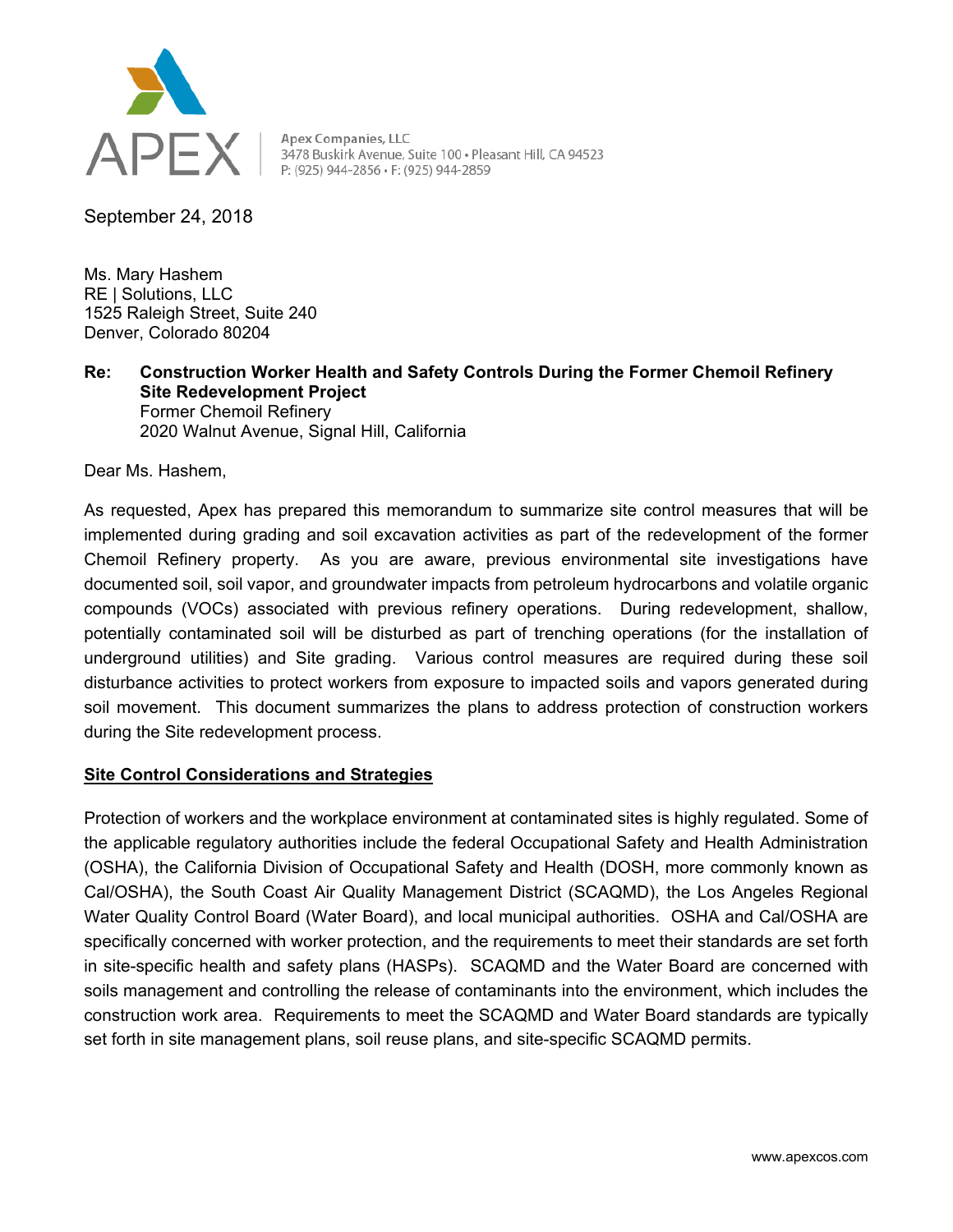

APEX | Apex Companies, LLC<br>
PEX | 3478 Buskirk Avenue, Suite 100 · Pleasant Hill, CA 94523

September 24, 2018

Ms. Mary Hashem RE | Solutions, LLC 1525 Raleigh Street, Suite 240 Denver, Colorado 80204

**Re: Construction Worker Health and Safety Controls During the Former Chemoil Refinery Site Redevelopment Project**  Former Chemoil Refinery

2020 Walnut Avenue, Signal Hill, California

Dear Ms. Hashem,

As requested, Apex has prepared this memorandum to summarize site control measures that will be implemented during grading and soil excavation activities as part of the redevelopment of the former Chemoil Refinery property. As you are aware, previous environmental site investigations have documented soil, soil vapor, and groundwater impacts from petroleum hydrocarbons and volatile organic compounds (VOCs) associated with previous refinery operations. During redevelopment, shallow, potentially contaminated soil will be disturbed as part of trenching operations (for the installation of underground utilities) and Site grading. Various control measures are required during these soil disturbance activities to protect workers from exposure to impacted soils and vapors generated during soil movement. This document summarizes the plans to address protection of construction workers during the Site redevelopment process.

## **Site Control Considerations and Strategies**

Protection of workers and the workplace environment at contaminated sites is highly regulated. Some of the applicable regulatory authorities include the federal Occupational Safety and Health Administration (OSHA), the California Division of Occupational Safety and Health (DOSH, more commonly known as Cal/OSHA), the South Coast Air Quality Management District (SCAQMD), the Los Angeles Regional Water Quality Control Board (Water Board), and local municipal authorities. OSHA and Cal/OSHA are specifically concerned with worker protection, and the requirements to meet their standards are set forth in site-specific health and safety plans (HASPs). SCAQMD and the Water Board are concerned with soils management and controlling the release of contaminants into the environment, which includes the construction work area. Requirements to meet the SCAQMD and Water Board standards are typically set forth in site management plans, soil reuse plans, and site-specific SCAQMD permits.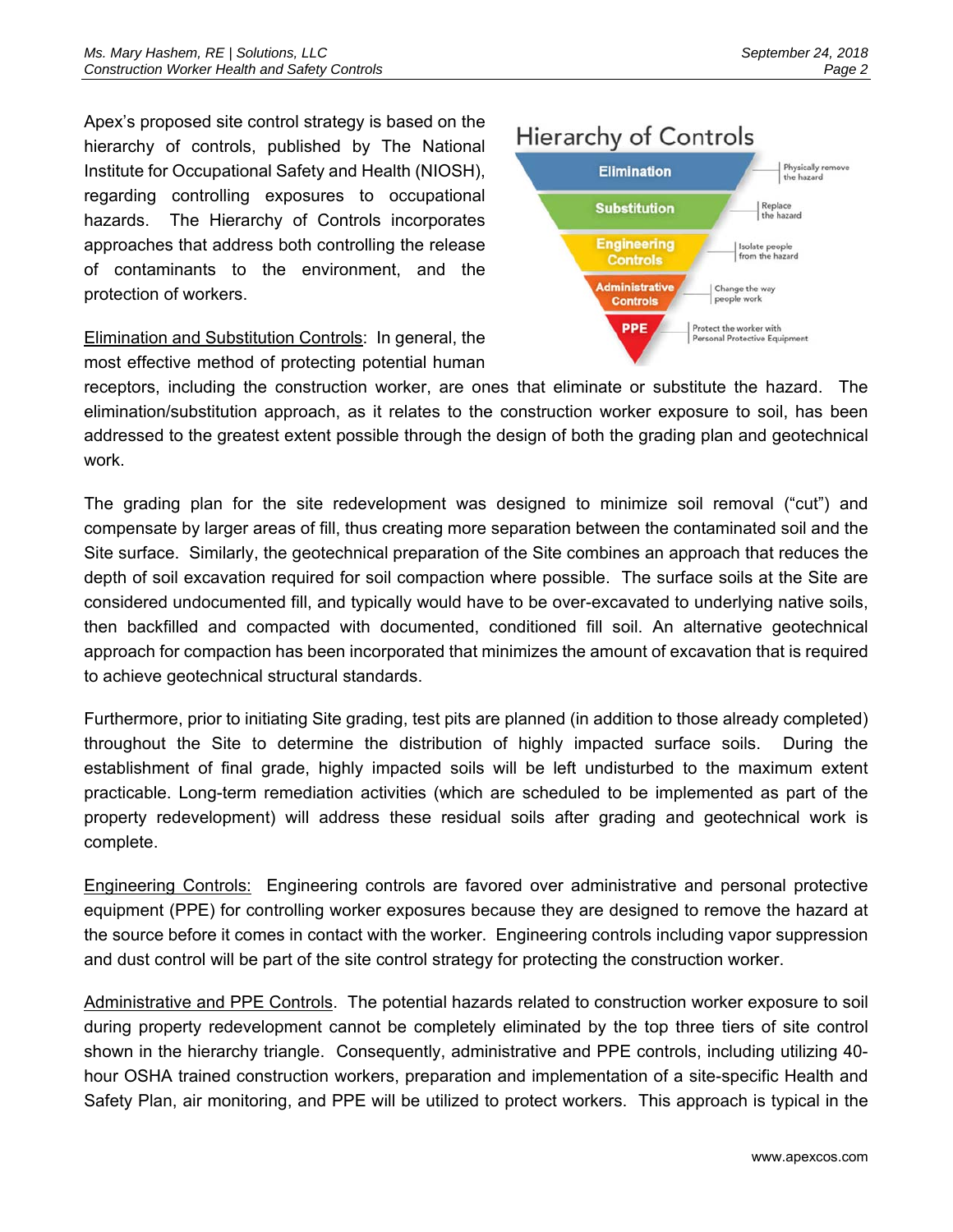Apex's proposed site control strategy is based on the hierarchy of controls, published by The National Institute for Occupational Safety and Health (NIOSH), regarding controlling exposures to occupational hazards. The Hierarchy of Controls incorporates approaches that address both controlling the release of contaminants to the environment, and the protection of workers.

Elimination and Substitution Controls: In general, the most effective method of protecting potential human

## **Hierarchy of Controls**



receptors, including the construction worker, are ones that eliminate or substitute the hazard. The elimination/substitution approach, as it relates to the construction worker exposure to soil, has been addressed to the greatest extent possible through the design of both the grading plan and geotechnical work.

The grading plan for the site redevelopment was designed to minimize soil removal ("cut") and compensate by larger areas of fill, thus creating more separation between the contaminated soil and the Site surface. Similarly, the geotechnical preparation of the Site combines an approach that reduces the depth of soil excavation required for soil compaction where possible. The surface soils at the Site are considered undocumented fill, and typically would have to be over-excavated to underlying native soils, then backfilled and compacted with documented, conditioned fill soil. An alternative geotechnical approach for compaction has been incorporated that minimizes the amount of excavation that is required to achieve geotechnical structural standards.

Furthermore, prior to initiating Site grading, test pits are planned (in addition to those already completed) throughout the Site to determine the distribution of highly impacted surface soils. During the establishment of final grade, highly impacted soils will be left undisturbed to the maximum extent practicable. Long-term remediation activities (which are scheduled to be implemented as part of the property redevelopment) will address these residual soils after grading and geotechnical work is complete.

Engineering Controls: Engineering controls are favored over administrative and personal protective equipment (PPE) for controlling worker exposures because they are designed to remove the hazard at the source before it comes in contact with the worker. Engineering controls including vapor suppression and dust control will be part of the site control strategy for protecting the construction worker.

Administrative and PPE Controls. The potential hazards related to construction worker exposure to soil during property redevelopment cannot be completely eliminated by the top three tiers of site control shown in the hierarchy triangle. Consequently, administrative and PPE controls, including utilizing 40 hour OSHA trained construction workers, preparation and implementation of a site-specific Health and Safety Plan, air monitoring, and PPE will be utilized to protect workers. This approach is typical in the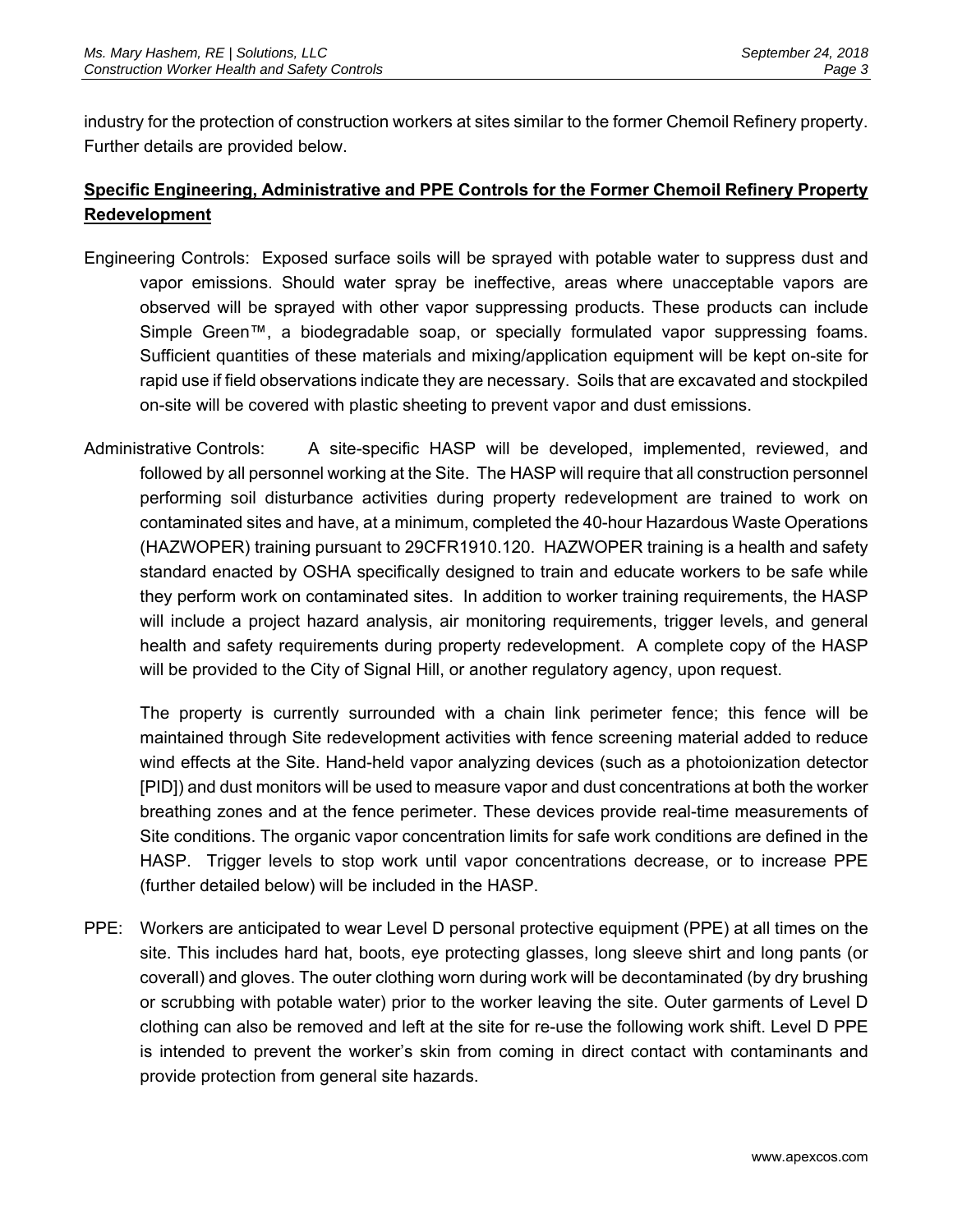industry for the protection of construction workers at sites similar to the former Chemoil Refinery property. Further details are provided below.

## **Specific Engineering, Administrative and PPE Controls for the Former Chemoil Refinery Property Redevelopment**

- Engineering Controls: Exposed surface soils will be sprayed with potable water to suppress dust and vapor emissions. Should water spray be ineffective, areas where unacceptable vapors are observed will be sprayed with other vapor suppressing products. These products can include Simple Green™, a biodegradable soap, or specially formulated vapor suppressing foams. Sufficient quantities of these materials and mixing/application equipment will be kept on-site for rapid use if field observations indicate they are necessary. Soils that are excavated and stockpiled on-site will be covered with plastic sheeting to prevent vapor and dust emissions.
- Administrative Controls: A site-specific HASP will be developed, implemented, reviewed, and followed by all personnel working at the Site. The HASP will require that all construction personnel performing soil disturbance activities during property redevelopment are trained to work on contaminated sites and have, at a minimum, completed the 40-hour Hazardous Waste Operations (HAZWOPER) training pursuant to 29CFR1910.120. HAZWOPER training is a health and safety standard enacted by OSHA specifically designed to train and educate workers to be safe while they perform work on contaminated sites. In addition to worker training requirements, the HASP will include a project hazard analysis, air monitoring requirements, trigger levels, and general health and safety requirements during property redevelopment. A complete copy of the HASP will be provided to the City of Signal Hill, or another regulatory agency, upon request.

The property is currently surrounded with a chain link perimeter fence; this fence will be maintained through Site redevelopment activities with fence screening material added to reduce wind effects at the Site. Hand-held vapor analyzing devices (such as a photoionization detector [PID]) and dust monitors will be used to measure vapor and dust concentrations at both the worker breathing zones and at the fence perimeter. These devices provide real-time measurements of Site conditions. The organic vapor concentration limits for safe work conditions are defined in the HASP. Trigger levels to stop work until vapor concentrations decrease, or to increase PPE (further detailed below) will be included in the HASP.

PPE: Workers are anticipated to wear Level D personal protective equipment (PPE) at all times on the site. This includes hard hat, boots, eye protecting glasses, long sleeve shirt and long pants (or coverall) and gloves. The outer clothing worn during work will be decontaminated (by dry brushing or scrubbing with potable water) prior to the worker leaving the site. Outer garments of Level D clothing can also be removed and left at the site for re-use the following work shift. Level D PPE is intended to prevent the worker's skin from coming in direct contact with contaminants and provide protection from general site hazards.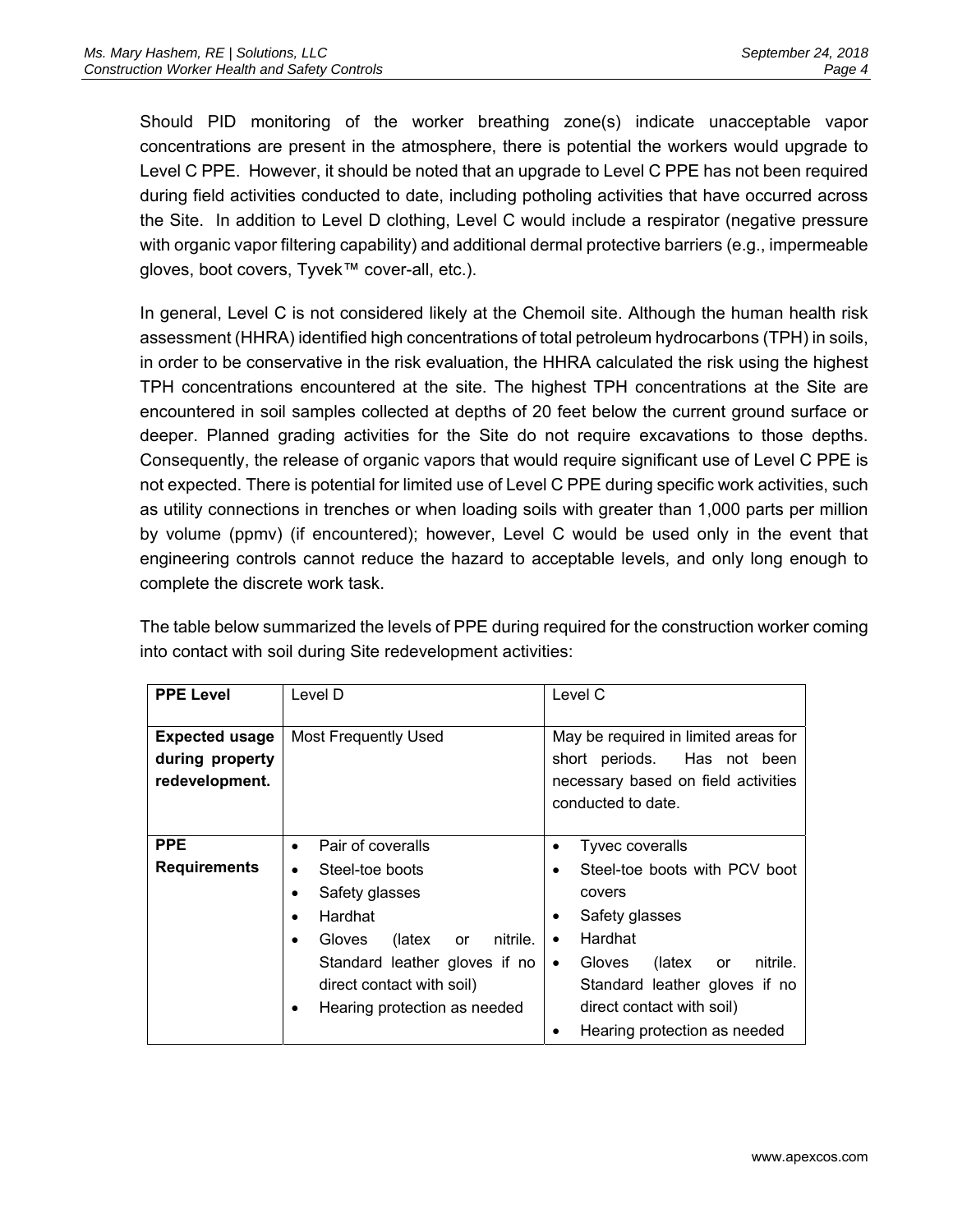Should PID monitoring of the worker breathing zone(s) indicate unacceptable vapor concentrations are present in the atmosphere, there is potential the workers would upgrade to Level C PPE. However, it should be noted that an upgrade to Level C PPE has not been required during field activities conducted to date, including potholing activities that have occurred across the Site. In addition to Level D clothing, Level C would include a respirator (negative pressure with organic vapor filtering capability) and additional dermal protective barriers (e.g., impermeable gloves, boot covers, Tyvek™ cover-all, etc.).

In general, Level C is not considered likely at the Chemoil site. Although the human health risk assessment (HHRA) identified high concentrations of total petroleum hydrocarbons (TPH) in soils, in order to be conservative in the risk evaluation, the HHRA calculated the risk using the highest TPH concentrations encountered at the site. The highest TPH concentrations at the Site are encountered in soil samples collected at depths of 20 feet below the current ground surface or deeper. Planned grading activities for the Site do not require excavations to those depths. Consequently, the release of organic vapors that would require significant use of Level C PPE is not expected. There is potential for limited use of Level C PPE during specific work activities, such as utility connections in trenches or when loading soils with greater than 1,000 parts per million by volume (ppmv) (if encountered); however, Level C would be used only in the event that engineering controls cannot reduce the hazard to acceptable levels, and only long enough to complete the discrete work task.

The table below summarized the levels of PPE during required for the construction worker coming into contact with soil during Site redevelopment activities:

| <b>PPE Level</b>                                           | Level D                         | Level C                                                                                                                          |
|------------------------------------------------------------|---------------------------------|----------------------------------------------------------------------------------------------------------------------------------|
| <b>Expected usage</b><br>during property<br>redevelopment. | <b>Most Frequently Used</b>     | May be required in limited areas for<br>short periods. Has not been<br>necessary based on field activities<br>conducted to date. |
| <b>PPE</b>                                                 | Pair of coveralls<br>$\bullet$  | Tyvec coveralls<br>٠                                                                                                             |
| <b>Requirements</b>                                        | Steel-toe boots<br>$\bullet$    | Steel-toe boots with PCV boot<br>٠                                                                                               |
|                                                            | Safety glasses                  | covers                                                                                                                           |
|                                                            | Hardhat                         | Safety glasses<br>٠                                                                                                              |
|                                                            | nitrile.<br>Gloves (latex<br>or | Hardhat<br>$\bullet$                                                                                                             |
|                                                            | Standard leather gloves if no   | nitrile.<br>(latex<br>Gloves<br>or<br>$\bullet$                                                                                  |
|                                                            | direct contact with soil)       | Standard leather gloves if no                                                                                                    |
|                                                            | Hearing protection as needed    | direct contact with soil)                                                                                                        |
|                                                            |                                 | Hearing protection as needed<br>٠                                                                                                |